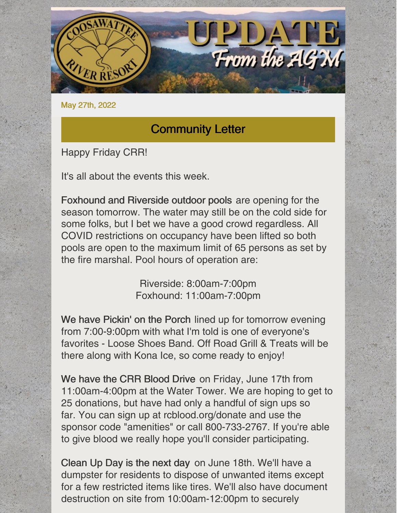

May 27th, 2022

### Community Letter

Happy Friday CRR!

It's all about the events this week.

Foxhound and Riverside outdoor pools are opening for the season tomorrow. The water may still be on the cold side for some folks, but I bet we have a good crowd regardless. All COVID restrictions on occupancy have been lifted so both pools are open to the maximum limit of 65 persons as set by the fire marshal. Pool hours of operation are:

> Riverside: 8:00am-7:00pm Foxhound: 11:00am-7:00pm

We have Pickin' on the Porch lined up for tomorrow evening from 7:00-9:00pm with what I'm told is one of everyone's favorites - Loose Shoes Band. Off Road Grill & Treats will be there along with Kona Ice, so come ready to enjoy!

We have the CRR Blood Drive on Friday, June 17th from 11:00am-4:00pm at the Water Tower. We are hoping to get to 25 donations, but have had only a handful of sign ups so far. You can sign up at rcblood.org/donate and use the sponsor code "amenities" or call 800-733-2767. If you're able to give blood we really hope you'll consider participating.

Clean Up Day is the next day on June 18th. We'll have a dumpster for residents to dispose of unwanted items except for a few restricted items like tires. We'll also have document destruction on site from 10:00am-12:00pm to securely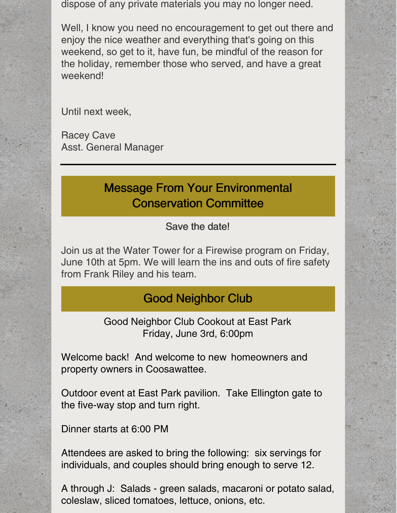dispose of any private materials you may no longer need.

Well, I know you need no encouragement to get out there and enjoy the nice weather and everything that's going on this weekend, so get to it, have fun, be mindful of the reason for the holiday, remember those who served, and have a great weekend!

Until next week,

Racey Cave Asst. General Manager

# Message From Your Environmental Conservation Committee

#### Save the date!

Join us at the Water Tower for a Firewise program on Friday, June 10th at 5pm. We will learn the ins and outs of fire safety from Frank Riley and his team.

## Good Neighbor Club

Good Neighbor Club Cookout at East Park Friday, June 3rd, 6:00pm

Welcome back! And welcome to new homeowners and property owners in Coosawattee.

Outdoor event at East Park pavilion. Take Ellington gate to the five-way stop and turn right.

Dinner starts at 6:00 PM

Attendees are asked to bring the following: six servings for individuals, and couples should bring enough to serve 12.

A through J: Salads - green salads, macaroni or potato salad, coleslaw, sliced tomatoes, lettuce, onions, etc.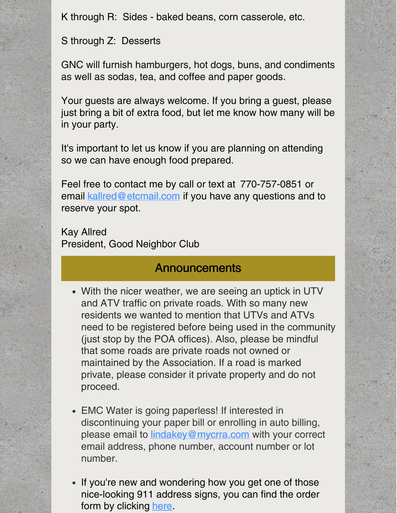K through R: Sides - baked beans, corn casserole, etc.

S through Z: Desserts

GNC will furnish hamburgers, hot dogs, buns, and condiments as well as sodas, tea, and coffee and paper goods.

Your guests are always welcome. If you bring a guest, please just bring a bit of extra food, but let me know how many will be in your party.

It's important to let us know if you are planning on attending so we can have enough food prepared.

Feel free to contact me by call or text at 770-757-0851 or email [kallred@etcmail.com](mailto:kallred@etcmail.com) if you have any questions and to reserve your spot.

Kay Allred President, Good Neighbor Club

### **Announcements**

- With the nicer weather, we are seeing an uptick in UTV and ATV traffic on private roads. With so many new residents we wanted to mention that UTVs and ATVs need to be registered before being used in the community (just stop by the POA offices). Also, please be mindful that some roads are private roads not owned or maintained by the Association. If a road is marked private, please consider it private property and do not proceed.
- EMC Water is going paperless! If interested in discontinuing your paper bill or enrolling in auto billing, please email to **[lindakey@mycrra.com](mailto:lindakey@mycrra.com)** with your correct email address, phone number, account number or lot number.
- If you're new and wondering how you get one of those nice-looking 911 address signs, you can find the order form by clicking [here](https://www.mycrra.com/information).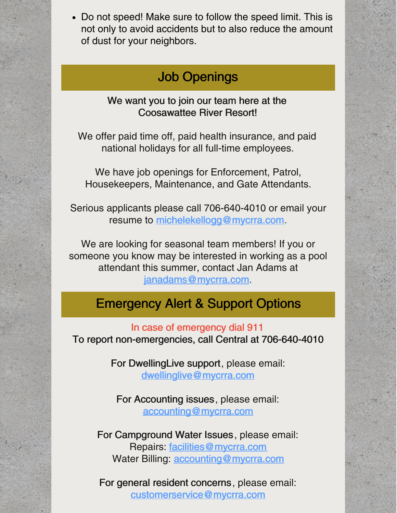Do not speed! Make sure to follow the speed limit. This is not only to avoid accidents but to also reduce the amount of dust for your neighbors.

# Job Openings

#### We want you to join our team here at the Coosawattee River Resort!

We offer paid time off, paid health insurance, and paid national holidays for all full-time employees.

We have job openings for Enforcement, Patrol, Housekeepers, Maintenance, and Gate Attendants.

Serious applicants please call 706-640-4010 or email your resume to [michelekellogg@mycrra.com](mailto:michelekellogg@mycrra.com).

We are looking for seasonal team members! If you or someone you know may be interested in working as a pool attendant this summer, contact Jan Adams at [janadams@mycrra.com](mailto:janadams@mycrra.com).

## Emergency Alert & Support Options

In case of emergency dial 911 To report non-emergencies, call Central at 706-640-4010

> For DwellingLive support, please email: [dwellinglive@mycrra.com](mailto:dwellinglive@mycrra.com)

For Accounting issues, please email: [accounting@mycrra.com](mailto:accounting@myccra.com)

For Campground Water Issues, please email: Repairs: [facilities@mycrra.com](mailto:facilities@mycrra.com) Water Billing: [accounting@mycrra.com](mailto:accounting@mycrra.com)

For general resident concerns, please email: [customerservice@mycrra.com](mailto:customerservice@mycrra.com)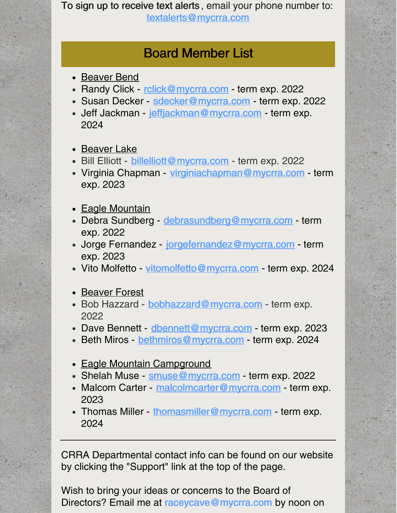To sign up to receive text alerts , email your phone number to: [textalerts@mycrra.com](http://textalerts@mycrra.com)

## Board Member List

- Beaver Bend
- Randy Click [rclick@mycrra.com](mailto:rclick@mycrra.com) term exp. 2022
- Susan Decker [sdecker@mycrra.com](mailto:sdecker@mycrra.com) term exp. 2022
- Jeff Jackman [jeffjackman@mycrra.com](mailto:jeffjackman@mycrra.com) term exp. 2024
- Beaver Lake
- Bill Elliott [billelliott@mycrra.com](mailto:billelliott@mycrra.com) term exp. 2022
- Virginia Chapman [virginiachapman@mycrra.com](mailto:virginiachapman@mycrra.com) term exp. 2023
- Eagle Mountain
- Debra Sundberg debrasundberg@mycrra.com term exp. 2022
- Jorge Fernandez [jorgefernandez@mycrra.com](mailto:jorgefernandez@mycrra.com) term exp. 2023
- Vito Molfetto [vitomolfetto@mycrra.com](mailto:vitomolfetto@mycrra.com) term exp. 2024
- Beaver Forest
- Bob Hazzard [bobhazzard@mycrra.com](mailto:bobhazzard@mycrra.com) term exp. 2022
- Dave Bennett [dbennett@mycrra.com](mailto:dbennett@mycrra.com) term exp. 2023
- Beth Miros [bethmiros@mycrra.com](mailto:bethmiros@mycrra.com) term exp. 2024
- Eagle Mountain Campground
- Shelah Muse [smuse@mycrra.com](mailto:smuse@mycrra.com) term exp. 2022
- Malcom Carter [malcolmcarter@mycrra.com](mailto:malcolmcarter@mycrra.com) term exp. 2023
- Thomas Miller [thomasmiller@mycrra.com](mailto:thomasmiller@mycrra.com) term exp. 2024

CRRA Departmental contact info can be found on our website by clicking the "Support" link at the top of the page.

Wish to bring your ideas or concerns to the Board of Directors? Email me at [raceycave@mycrra.com](mailto:customerservice@mycrra.com) by noon on